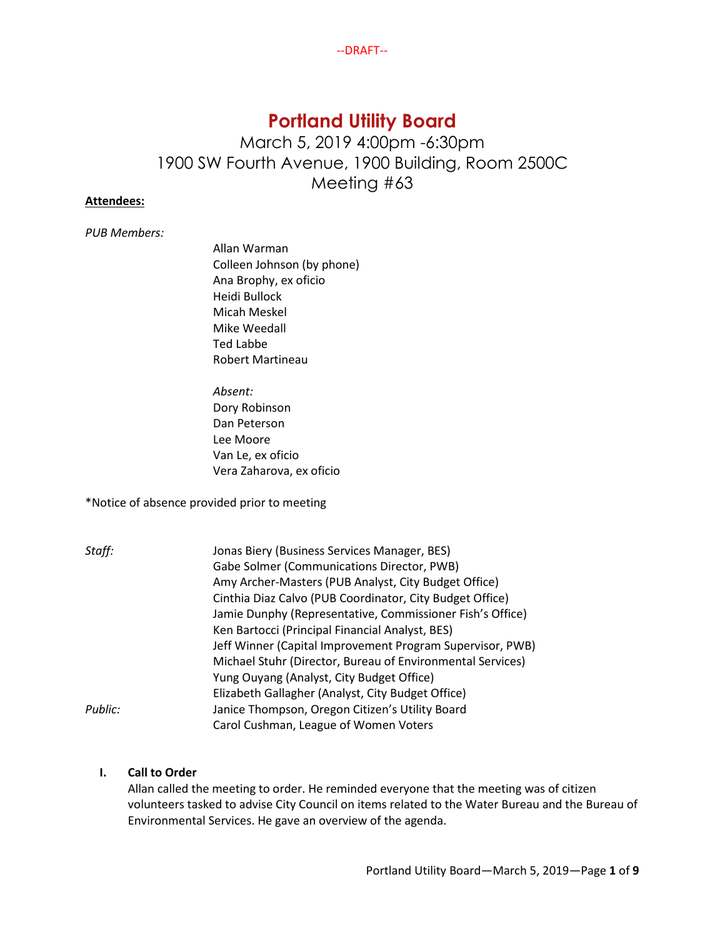# **Portland Utility Board**

March 5, 2019 4:00pm -6:30pm 1900 SW Fourth Avenue, 1900 Building, Room 2500C Meeting #63

# **Attendees:**

*PUB Members:* 

Allan Warman Colleen Johnson (by phone) Ana Brophy, ex oficio Heidi Bullock Micah Meskel Mike Weedall Ted Labbe Robert Martineau

*Absent:* Dory Robinson Dan Peterson Lee Moore Van Le, ex oficio Vera Zaharova, ex oficio

\*Notice of absence provided prior to meeting

| Staff:  | Jonas Biery (Business Services Manager, BES)               |
|---------|------------------------------------------------------------|
|         | Gabe Solmer (Communications Director, PWB)                 |
|         | Amy Archer-Masters (PUB Analyst, City Budget Office)       |
|         | Cinthia Diaz Calvo (PUB Coordinator, City Budget Office)   |
|         | Jamie Dunphy (Representative, Commissioner Fish's Office)  |
|         | Ken Bartocci (Principal Financial Analyst, BES)            |
|         | Jeff Winner (Capital Improvement Program Supervisor, PWB)  |
|         | Michael Stuhr (Director, Bureau of Environmental Services) |
|         | Yung Ouyang (Analyst, City Budget Office)                  |
|         | Elizabeth Gallagher (Analyst, City Budget Office)          |
| Public: | Janice Thompson, Oregon Citizen's Utility Board            |
|         | Carol Cushman, League of Women Voters                      |

# **I. Call to Order**

Allan called the meeting to order. He reminded everyone that the meeting was of citizen volunteers tasked to advise City Council on items related to the Water Bureau and the Bureau of Environmental Services. He gave an overview of the agenda.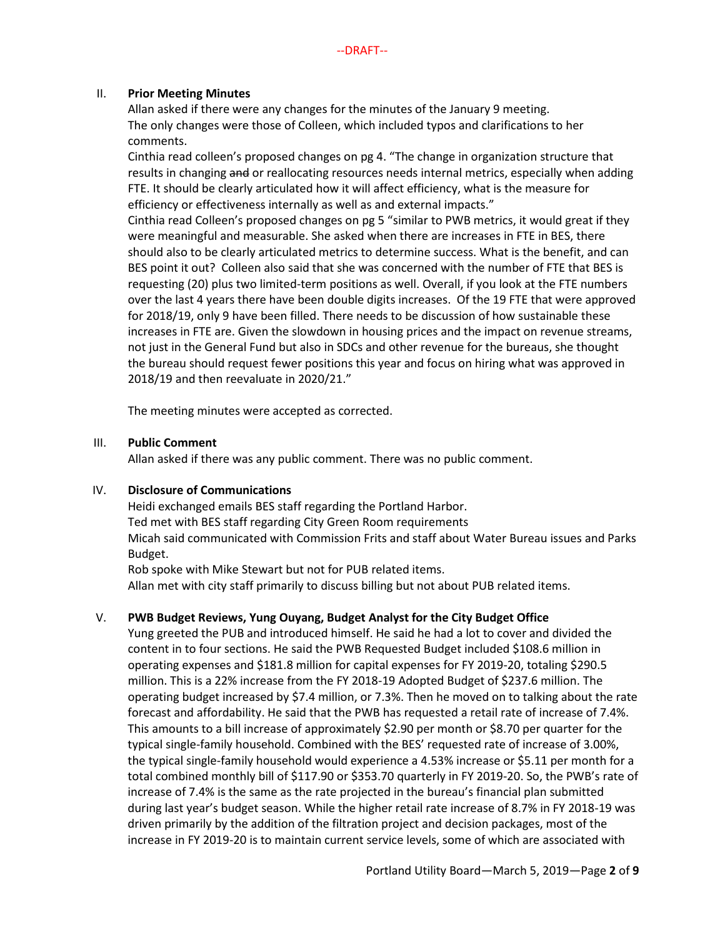# II. **Prior Meeting Minutes**

Allan asked if there were any changes for the minutes of the January 9 meeting. The only changes were those of Colleen, which included typos and clarifications to her comments.

Cinthia read colleen's proposed changes on pg 4. "The change in organization structure that results in changing and or reallocating resources needs internal metrics, especially when adding FTE. It should be clearly articulated how it will affect efficiency, what is the measure for efficiency or effectiveness internally as well as and external impacts."

Cinthia read Colleen's proposed changes on pg 5 "similar to PWB metrics, it would great if they were meaningful and measurable. She asked when there are increases in FTE in BES, there should also to be clearly articulated metrics to determine success. What is the benefit, and can BES point it out? Colleen also said that she was concerned with the number of FTE that BES is requesting (20) plus two limited-term positions as well. Overall, if you look at the FTE numbers over the last 4 years there have been double digits increases. Of the 19 FTE that were approved for 2018/19, only 9 have been filled. There needs to be discussion of how sustainable these increases in FTE are. Given the slowdown in housing prices and the impact on revenue streams, not just in the General Fund but also in SDCs and other revenue for the bureaus, she thought the bureau should request fewer positions this year and focus on hiring what was approved in 2018/19 and then reevaluate in 2020/21."

The meeting minutes were accepted as corrected.

# III. **Public Comment**

Allan asked if there was any public comment. There was no public comment.

# IV. **Disclosure of Communications**

Heidi exchanged emails BES staff regarding the Portland Harbor. Ted met with BES staff regarding City Green Room requirements Micah said communicated with Commission Frits and staff about Water Bureau issues and Parks Budget.

Rob spoke with Mike Stewart but not for PUB related items. Allan met with city staff primarily to discuss billing but not about PUB related items.

# V. **PWB Budget Reviews, Yung Ouyang, Budget Analyst for the City Budget Office**

Yung greeted the PUB and introduced himself. He said he had a lot to cover and divided the content in to four sections. He said the PWB Requested Budget included \$108.6 million in operating expenses and \$181.8 million for capital expenses for FY 2019-20, totaling \$290.5 million. This is a 22% increase from the FY 2018-19 Adopted Budget of \$237.6 million. The operating budget increased by \$7.4 million, or 7.3%. Then he moved on to talking about the rate forecast and affordability. He said that the PWB has requested a retail rate of increase of 7.4%. This amounts to a bill increase of approximately \$2.90 per month or \$8.70 per quarter for the typical single-family household. Combined with the BES' requested rate of increase of 3.00%, the typical single-family household would experience a 4.53% increase or \$5.11 per month for a total combined monthly bill of \$117.90 or \$353.70 quarterly in FY 2019-20. So, the PWB's rate of increase of 7.4% is the same as the rate projected in the bureau's financial plan submitted during last year's budget season. While the higher retail rate increase of 8.7% in FY 2018-19 was driven primarily by the addition of the filtration project and decision packages, most of the increase in FY 2019-20 is to maintain current service levels, some of which are associated with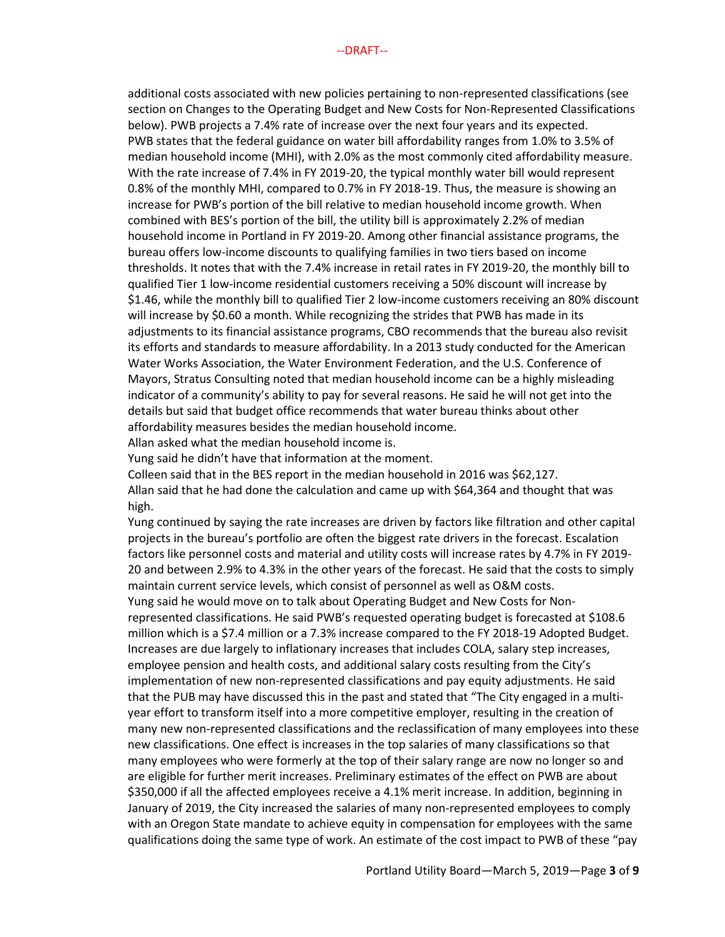additional costs associated with new policies pertaining to non-represented classifications (see section on Changes to the Operating Budget and New Costs for Non-Represented Classifications below). PWB projects a 7.4% rate of increase over the next four years and its expected. PWB states that the federal guidance on water bill affordability ranges from 1.0% to 3.5% of median household income (MHI), with 2.0% as the most commonly cited affordability measure. With the rate increase of 7.4% in FY 2019-20, the typical monthly water bill would represent 0.8% of the monthly MHI, compared to 0.7% in FY 2018-19. Thus, the measure is showing an increase for PWB's portion of the bill relative to median household income growth. When combined with BES's portion of the bill, the utility bill is approximately 2.2% of median household income in Portland in FY 2019-20. Among other financial assistance programs, the bureau offers low-income discounts to qualifying families in two tiers based on income thresholds. It notes that with the 7.4% increase in retail rates in FY 2019-20, the monthly bill to qualified Tier 1 low-income residential customers receiving a 50% discount will increase by \$1.46, while the monthly bill to qualified Tier 2 low-income customers receiving an 80% discount will increase by \$0.60 a month. While recognizing the strides that PWB has made in its adjustments to its financial assistance programs, CBO recommends that the bureau also revisit its efforts and standards to measure affordability. In a 2013 study conducted for the American Water Works Association, the Water Environment Federation, and the U.S. Conference of Mayors, Stratus Consulting noted that median household income can be a highly misleading indicator of a community's ability to pay for several reasons. He said he will not get into the details but said that budget office recommends that water bureau thinks about other affordability measures besides the median household income.

Allan asked what the median household income is.

Yung said he didn't have that information at the moment.

Colleen said that in the BES report in the median household in 2016 was \$62,127. Allan said that he had done the calculation and came up with \$64,364 and thought that was

high.

Yung continued by saying the rate increases are driven by factors like filtration and other capital projects in the bureau's portfolio are often the biggest rate drivers in the forecast. Escalation factors like personnel costs and material and utility costs will increase rates by 4.7% in FY 2019- 20 and between 2.9% to 4.3% in the other years of the forecast. He said that the costs to simply maintain current service levels, which consist of personnel as well as O&M costs.

Yung said he would move on to talk about Operating Budget and New Costs for Nonrepresented classifications. He said PWB's requested operating budget is forecasted at \$108.6 million which is a \$7.4 million or a 7.3% increase compared to the FY 2018-19 Adopted Budget. Increases are due largely to inflationary increases that includes COLA, salary step increases, employee pension and health costs, and additional salary costs resulting from the City's implementation of new non-represented classifications and pay equity adjustments. He said that the PUB may have discussed this in the past and stated that "The City engaged in a multiyear effort to transform itself into a more competitive employer, resulting in the creation of many new non-represented classifications and the reclassification of many employees into these new classifications. One effect is increases in the top salaries of many classifications so that many employees who were formerly at the top of their salary range are now no longer so and are eligible for further merit increases. Preliminary estimates of the effect on PWB are about \$350,000 if all the affected employees receive a 4.1% merit increase. In addition, beginning in January of 2019, the City increased the salaries of many non-represented employees to comply with an Oregon State mandate to achieve equity in compensation for employees with the same qualifications doing the same type of work. An estimate of the cost impact to PWB of these "pay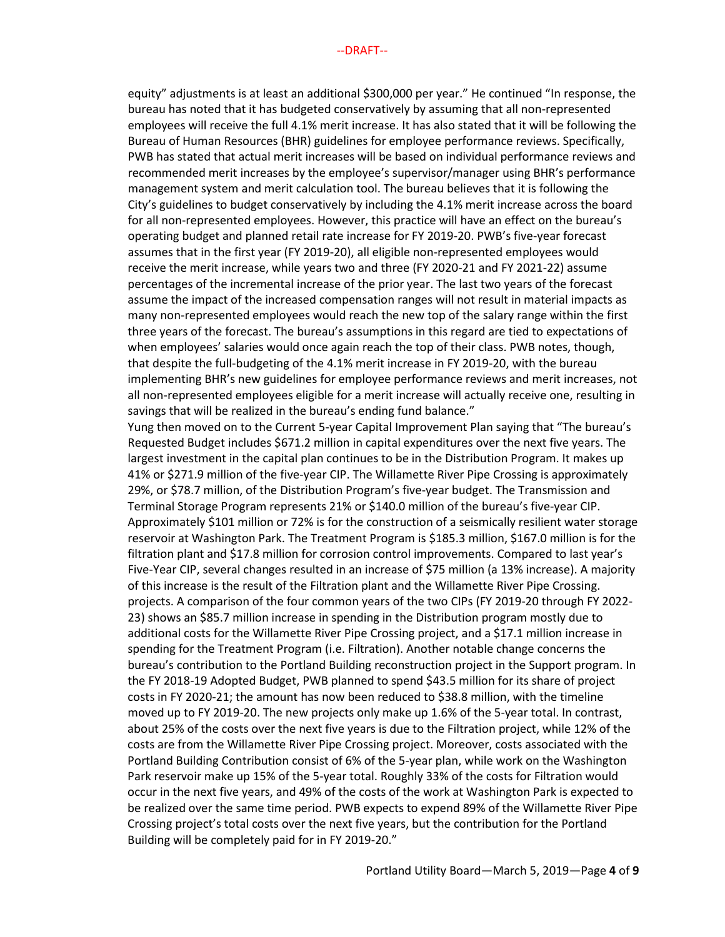equity" adjustments is at least an additional \$300,000 per year." He continued "In response, the bureau has noted that it has budgeted conservatively by assuming that all non-represented employees will receive the full 4.1% merit increase. It has also stated that it will be following the Bureau of Human Resources (BHR) guidelines for employee performance reviews. Specifically, PWB has stated that actual merit increases will be based on individual performance reviews and recommended merit increases by the employee's supervisor/manager using BHR's performance management system and merit calculation tool. The bureau believes that it is following the City's guidelines to budget conservatively by including the 4.1% merit increase across the board for all non-represented employees. However, this practice will have an effect on the bureau's operating budget and planned retail rate increase for FY 2019-20. PWB's five-year forecast assumes that in the first year (FY 2019-20), all eligible non-represented employees would receive the merit increase, while years two and three (FY 2020-21 and FY 2021-22) assume percentages of the incremental increase of the prior year. The last two years of the forecast assume the impact of the increased compensation ranges will not result in material impacts as many non-represented employees would reach the new top of the salary range within the first three years of the forecast. The bureau's assumptions in this regard are tied to expectations of when employees' salaries would once again reach the top of their class. PWB notes, though, that despite the full-budgeting of the 4.1% merit increase in FY 2019-20, with the bureau implementing BHR's new guidelines for employee performance reviews and merit increases, not all non-represented employees eligible for a merit increase will actually receive one, resulting in savings that will be realized in the bureau's ending fund balance."

Yung then moved on to the Current 5-year Capital Improvement Plan saying that "The bureau's Requested Budget includes \$671.2 million in capital expenditures over the next five years. The largest investment in the capital plan continues to be in the Distribution Program. It makes up 41% or \$271.9 million of the five-year CIP. The Willamette River Pipe Crossing is approximately 29%, or \$78.7 million, of the Distribution Program's five-year budget. The Transmission and Terminal Storage Program represents 21% or \$140.0 million of the bureau's five-year CIP. Approximately \$101 million or 72% is for the construction of a seismically resilient water storage reservoir at Washington Park. The Treatment Program is \$185.3 million, \$167.0 million is for the filtration plant and \$17.8 million for corrosion control improvements. Compared to last year's Five-Year CIP, several changes resulted in an increase of \$75 million (a 13% increase). A majority of this increase is the result of the Filtration plant and the Willamette River Pipe Crossing. projects. A comparison of the four common years of the two CIPs (FY 2019-20 through FY 2022- 23) shows an \$85.7 million increase in spending in the Distribution program mostly due to additional costs for the Willamette River Pipe Crossing project, and a \$17.1 million increase in spending for the Treatment Program (i.e. Filtration). Another notable change concerns the bureau's contribution to the Portland Building reconstruction project in the Support program. In the FY 2018-19 Adopted Budget, PWB planned to spend \$43.5 million for its share of project costs in FY 2020-21; the amount has now been reduced to \$38.8 million, with the timeline moved up to FY 2019-20. The new projects only make up 1.6% of the 5-year total. In contrast, about 25% of the costs over the next five years is due to the Filtration project, while 12% of the costs are from the Willamette River Pipe Crossing project. Moreover, costs associated with the Portland Building Contribution consist of 6% of the 5-year plan, while work on the Washington Park reservoir make up 15% of the 5-year total. Roughly 33% of the costs for Filtration would occur in the next five years, and 49% of the costs of the work at Washington Park is expected to be realized over the same time period. PWB expects to expend 89% of the Willamette River Pipe Crossing project's total costs over the next five years, but the contribution for the Portland Building will be completely paid for in FY 2019-20."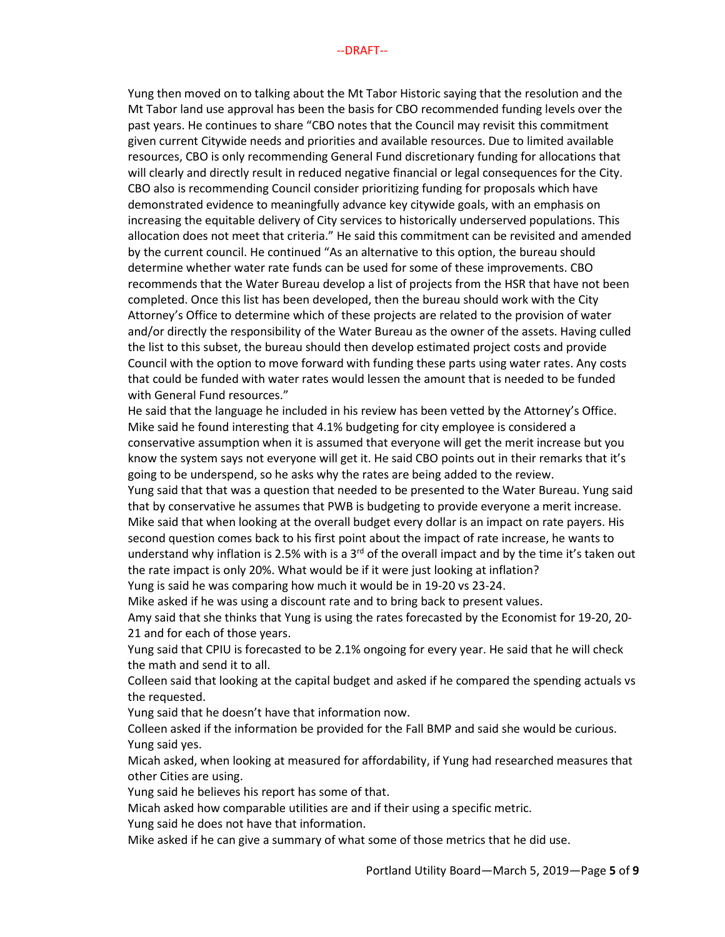Yung then moved on to talking about the Mt Tabor Historic saying that the resolution and the Mt Tabor land use approval has been the basis for CBO recommended funding levels over the past years. He continues to share "CBO notes that the Council may revisit this commitment given current Citywide needs and priorities and available resources. Due to limited available resources, CBO is only recommending General Fund discretionary funding for allocations that will clearly and directly result in reduced negative financial or legal consequences for the City. CBO also is recommending Council consider prioritizing funding for proposals which have demonstrated evidence to meaningfully advance key citywide goals, with an emphasis on increasing the equitable delivery of City services to historically underserved populations. This allocation does not meet that criteria." He said this commitment can be revisited and amended by the current council. He continued "As an alternative to this option, the bureau should determine whether water rate funds can be used for some of these improvements. CBO recommends that the Water Bureau develop a list of projects from the HSR that have not been completed. Once this list has been developed, then the bureau should work with the City Attorney's Office to determine which of these projects are related to the provision of water and/or directly the responsibility of the Water Bureau as the owner of the assets. Having culled the list to this subset, the bureau should then develop estimated project costs and provide Council with the option to move forward with funding these parts using water rates. Any costs that could be funded with water rates would lessen the amount that is needed to be funded with General Fund resources."

He said that the language he included in his review has been vetted by the Attorney's Office. Mike said he found interesting that 4.1% budgeting for city employee is considered a conservative assumption when it is assumed that everyone will get the merit increase but you know the system says not everyone will get it. He said CBO points out in their remarks that it's going to be underspend, so he asks why the rates are being added to the review.

Yung said that that was a question that needed to be presented to the Water Bureau. Yung said that by conservative he assumes that PWB is budgeting to provide everyone a merit increase. Mike said that when looking at the overall budget every dollar is an impact on rate payers. His second question comes back to his first point about the impact of rate increase, he wants to understand why inflation is 2.5% with is a 3<sup>rd</sup> of the overall impact and by the time it's taken out the rate impact is only 20%. What would be if it were just looking at inflation?

Yung is said he was comparing how much it would be in 19-20 vs 23-24.

Mike asked if he was using a discount rate and to bring back to present values. Amy said that she thinks that Yung is using the rates forecasted by the Economist for 19-20, 20- 21 and for each of those years.

Yung said that CPIU is forecasted to be 2.1% ongoing for every year. He said that he will check the math and send it to all.

Colleen said that looking at the capital budget and asked if he compared the spending actuals vs the requested.

Yung said that he doesn't have that information now.

Colleen asked if the information be provided for the Fall BMP and said she would be curious. Yung said yes.

Micah asked, when looking at measured for affordability, if Yung had researched measures that other Cities are using.

Yung said he believes his report has some of that.

Micah asked how comparable utilities are and if their using a specific metric.

Yung said he does not have that information.

Mike asked if he can give a summary of what some of those metrics that he did use.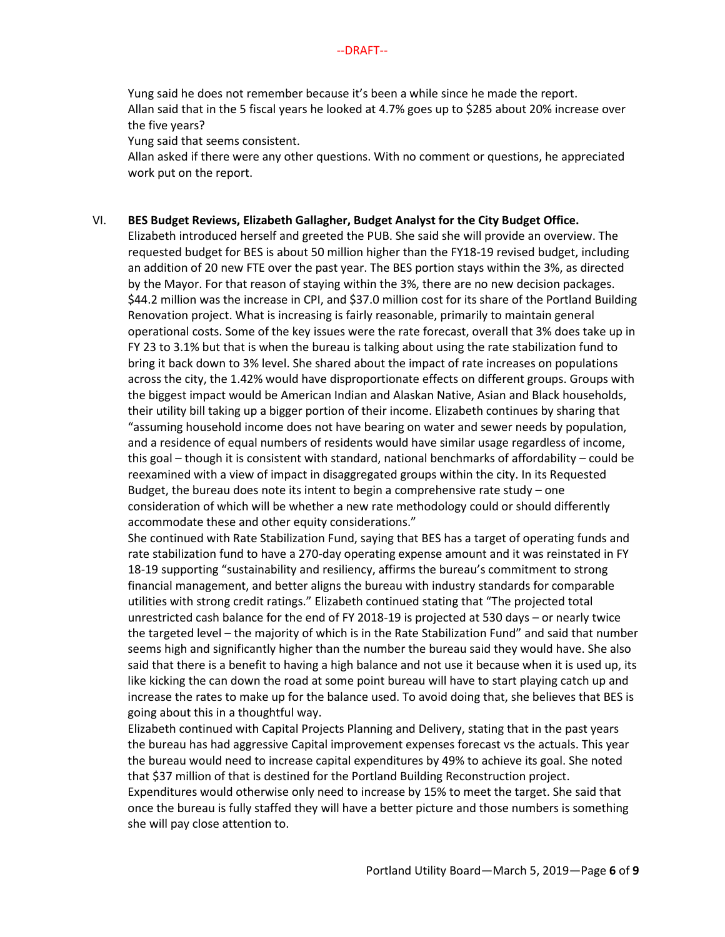Yung said he does not remember because it's been a while since he made the report. Allan said that in the 5 fiscal years he looked at 4.7% goes up to \$285 about 20% increase over the five years?

Yung said that seems consistent.

Allan asked if there were any other questions. With no comment or questions, he appreciated work put on the report.

#### VI. **BES Budget Reviews, Elizabeth Gallagher, Budget Analyst for the City Budget Office.**

Elizabeth introduced herself and greeted the PUB. She said she will provide an overview. The requested budget for BES is about 50 million higher than the FY18-19 revised budget, including an addition of 20 new FTE over the past year. The BES portion stays within the 3%, as directed by the Mayor. For that reason of staying within the 3%, there are no new decision packages. \$44.2 million was the increase in CPI, and \$37.0 million cost for its share of the Portland Building Renovation project. What is increasing is fairly reasonable, primarily to maintain general operational costs. Some of the key issues were the rate forecast, overall that 3% does take up in FY 23 to 3.1% but that is when the bureau is talking about using the rate stabilization fund to bring it back down to 3% level. She shared about the impact of rate increases on populations across the city, the 1.42% would have disproportionate effects on different groups. Groups with the biggest impact would be American Indian and Alaskan Native, Asian and Black households, their utility bill taking up a bigger portion of their income. Elizabeth continues by sharing that "assuming household income does not have bearing on water and sewer needs by population, and a residence of equal numbers of residents would have similar usage regardless of income, this goal – though it is consistent with standard, national benchmarks of affordability – could be reexamined with a view of impact in disaggregated groups within the city. In its Requested Budget, the bureau does note its intent to begin a comprehensive rate study – one consideration of which will be whether a new rate methodology could or should differently accommodate these and other equity considerations."

She continued with Rate Stabilization Fund, saying that BES has a target of operating funds and rate stabilization fund to have a 270-day operating expense amount and it was reinstated in FY 18-19 supporting "sustainability and resiliency, affirms the bureau's commitment to strong financial management, and better aligns the bureau with industry standards for comparable utilities with strong credit ratings." Elizabeth continued stating that "The projected total unrestricted cash balance for the end of FY 2018-19 is projected at 530 days – or nearly twice the targeted level – the majority of which is in the Rate Stabilization Fund" and said that number seems high and significantly higher than the number the bureau said they would have. She also said that there is a benefit to having a high balance and not use it because when it is used up, its like kicking the can down the road at some point bureau will have to start playing catch up and increase the rates to make up for the balance used. To avoid doing that, she believes that BES is going about this in a thoughtful way.

Elizabeth continued with Capital Projects Planning and Delivery, stating that in the past years the bureau has had aggressive Capital improvement expenses forecast vs the actuals. This year the bureau would need to increase capital expenditures by 49% to achieve its goal. She noted that \$37 million of that is destined for the Portland Building Reconstruction project. Expenditures would otherwise only need to increase by 15% to meet the target. She said that once the bureau is fully staffed they will have a better picture and those numbers is something she will pay close attention to.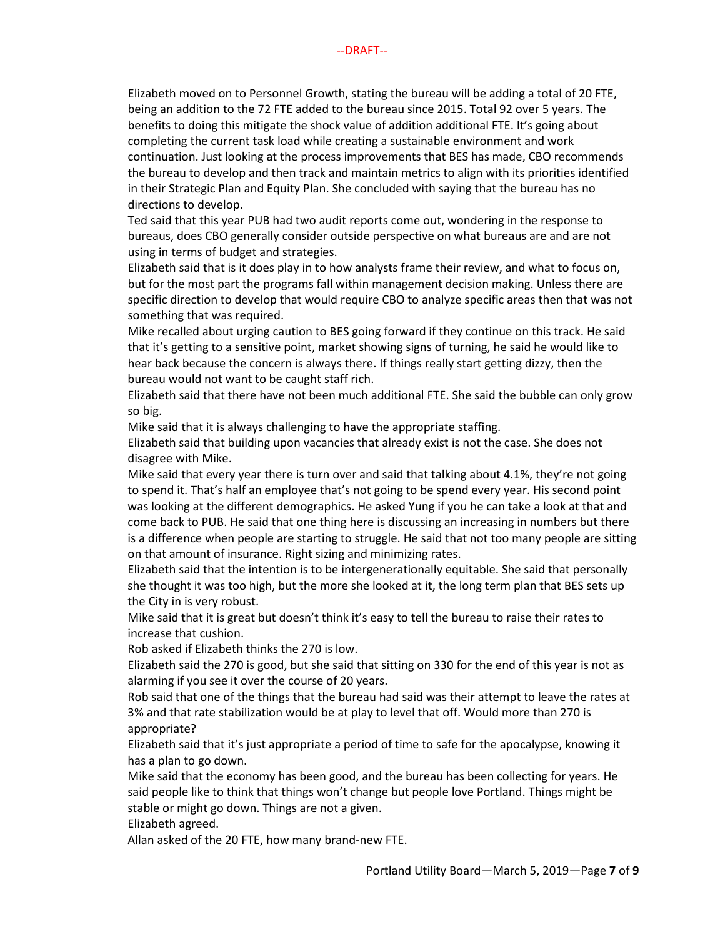Elizabeth moved on to Personnel Growth, stating the bureau will be adding a total of 20 FTE, being an addition to the 72 FTE added to the bureau since 2015. Total 92 over 5 years. The benefits to doing this mitigate the shock value of addition additional FTE. It's going about completing the current task load while creating a sustainable environment and work continuation. Just looking at the process improvements that BES has made, CBO recommends the bureau to develop and then track and maintain metrics to align with its priorities identified in their Strategic Plan and Equity Plan. She concluded with saying that the bureau has no directions to develop.

Ted said that this year PUB had two audit reports come out, wondering in the response to bureaus, does CBO generally consider outside perspective on what bureaus are and are not using in terms of budget and strategies.

Elizabeth said that is it does play in to how analysts frame their review, and what to focus on, but for the most part the programs fall within management decision making. Unless there are specific direction to develop that would require CBO to analyze specific areas then that was not something that was required.

Mike recalled about urging caution to BES going forward if they continue on this track. He said that it's getting to a sensitive point, market showing signs of turning, he said he would like to hear back because the concern is always there. If things really start getting dizzy, then the bureau would not want to be caught staff rich.

Elizabeth said that there have not been much additional FTE. She said the bubble can only grow so big.

Mike said that it is always challenging to have the appropriate staffing.

Elizabeth said that building upon vacancies that already exist is not the case. She does not disagree with Mike.

Mike said that every year there is turn over and said that talking about 4.1%, they're not going to spend it. That's half an employee that's not going to be spend every year. His second point was looking at the different demographics. He asked Yung if you he can take a look at that and come back to PUB. He said that one thing here is discussing an increasing in numbers but there is a difference when people are starting to struggle. He said that not too many people are sitting on that amount of insurance. Right sizing and minimizing rates.

Elizabeth said that the intention is to be intergenerationally equitable. She said that personally she thought it was too high, but the more she looked at it, the long term plan that BES sets up the City in is very robust.

Mike said that it is great but doesn't think it's easy to tell the bureau to raise their rates to increase that cushion.

Rob asked if Elizabeth thinks the 270 is low.

Elizabeth said the 270 is good, but she said that sitting on 330 for the end of this year is not as alarming if you see it over the course of 20 years.

Rob said that one of the things that the bureau had said was their attempt to leave the rates at 3% and that rate stabilization would be at play to level that off. Would more than 270 is appropriate?

Elizabeth said that it's just appropriate a period of time to safe for the apocalypse, knowing it has a plan to go down.

Mike said that the economy has been good, and the bureau has been collecting for years. He said people like to think that things won't change but people love Portland. Things might be stable or might go down. Things are not a given.

Elizabeth agreed.

Allan asked of the 20 FTE, how many brand-new FTE.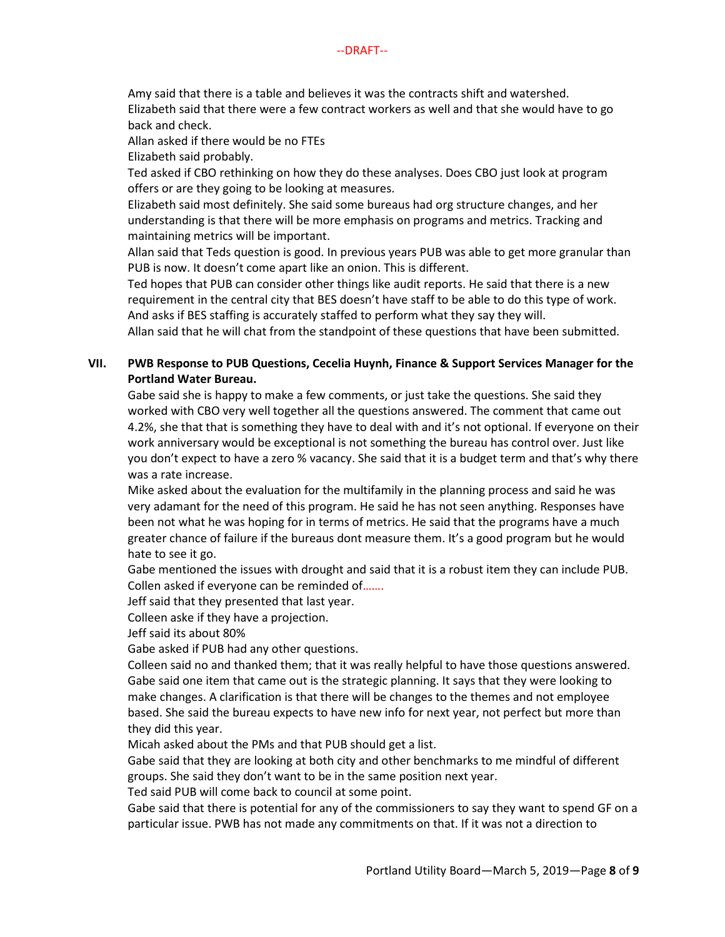Amy said that there is a table and believes it was the contracts shift and watershed. Elizabeth said that there were a few contract workers as well and that she would have to go back and check.

Allan asked if there would be no FTEs

Elizabeth said probably.

Ted asked if CBO rethinking on how they do these analyses. Does CBO just look at program offers or are they going to be looking at measures.

Elizabeth said most definitely. She said some bureaus had org structure changes, and her understanding is that there will be more emphasis on programs and metrics. Tracking and maintaining metrics will be important.

Allan said that Teds question is good. In previous years PUB was able to get more granular than PUB is now. It doesn't come apart like an onion. This is different.

Ted hopes that PUB can consider other things like audit reports. He said that there is a new requirement in the central city that BES doesn't have staff to be able to do this type of work. And asks if BES staffing is accurately staffed to perform what they say they will.

Allan said that he will chat from the standpoint of these questions that have been submitted.

# **VII. PWB Response to PUB Questions, Cecelia Huynh, Finance & Support Services Manager for the Portland Water Bureau.**

Gabe said she is happy to make a few comments, or just take the questions. She said they worked with CBO very well together all the questions answered. The comment that came out 4.2%, she that that is something they have to deal with and it's not optional. If everyone on their work anniversary would be exceptional is not something the bureau has control over. Just like you don't expect to have a zero % vacancy. She said that it is a budget term and that's why there was a rate increase.

Mike asked about the evaluation for the multifamily in the planning process and said he was very adamant for the need of this program. He said he has not seen anything. Responses have been not what he was hoping for in terms of metrics. He said that the programs have a much greater chance of failure if the bureaus dont measure them. It's a good program but he would hate to see it go.

Gabe mentioned the issues with drought and said that it is a robust item they can include PUB. Collen asked if everyone can be reminded of…….

Jeff said that they presented that last year.

Colleen aske if they have a projection.

Jeff said its about 80%

Gabe asked if PUB had any other questions.

Colleen said no and thanked them; that it was really helpful to have those questions answered. Gabe said one item that came out is the strategic planning. It says that they were looking to make changes. A clarification is that there will be changes to the themes and not employee based. She said the bureau expects to have new info for next year, not perfect but more than they did this year.

Micah asked about the PMs and that PUB should get a list.

Gabe said that they are looking at both city and other benchmarks to me mindful of different groups. She said they don't want to be in the same position next year.

Ted said PUB will come back to council at some point.

Gabe said that there is potential for any of the commissioners to say they want to spend GF on a particular issue. PWB has not made any commitments on that. If it was not a direction to